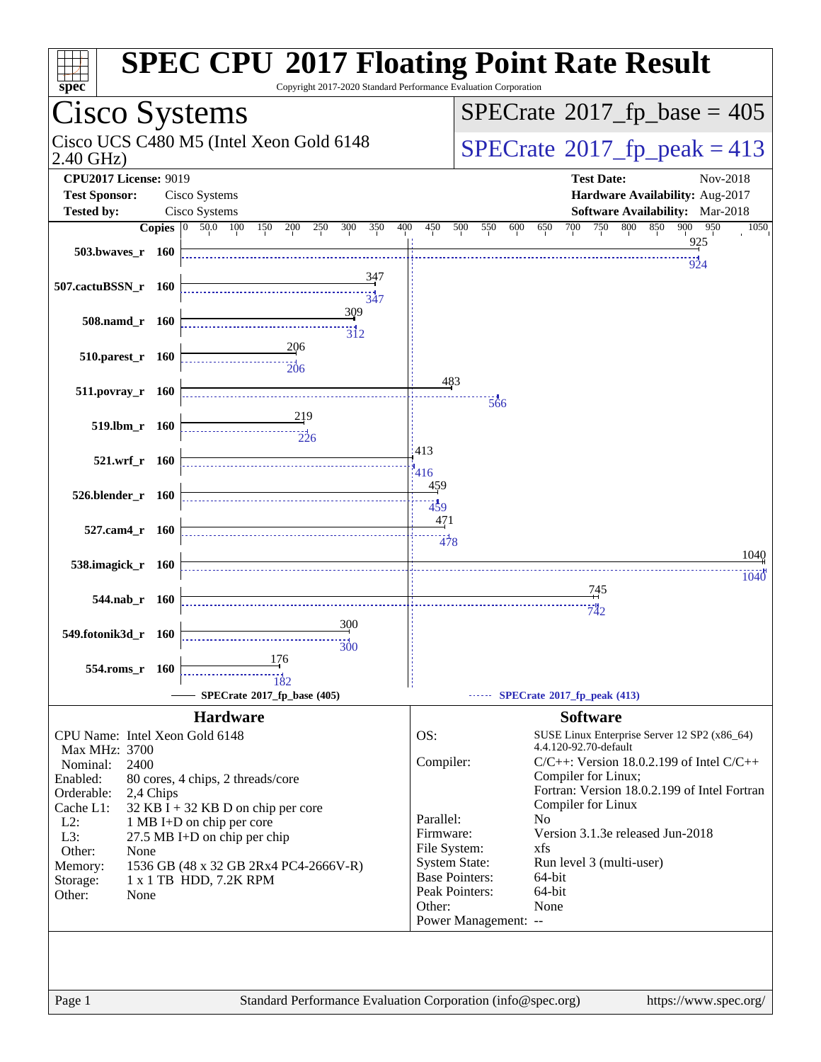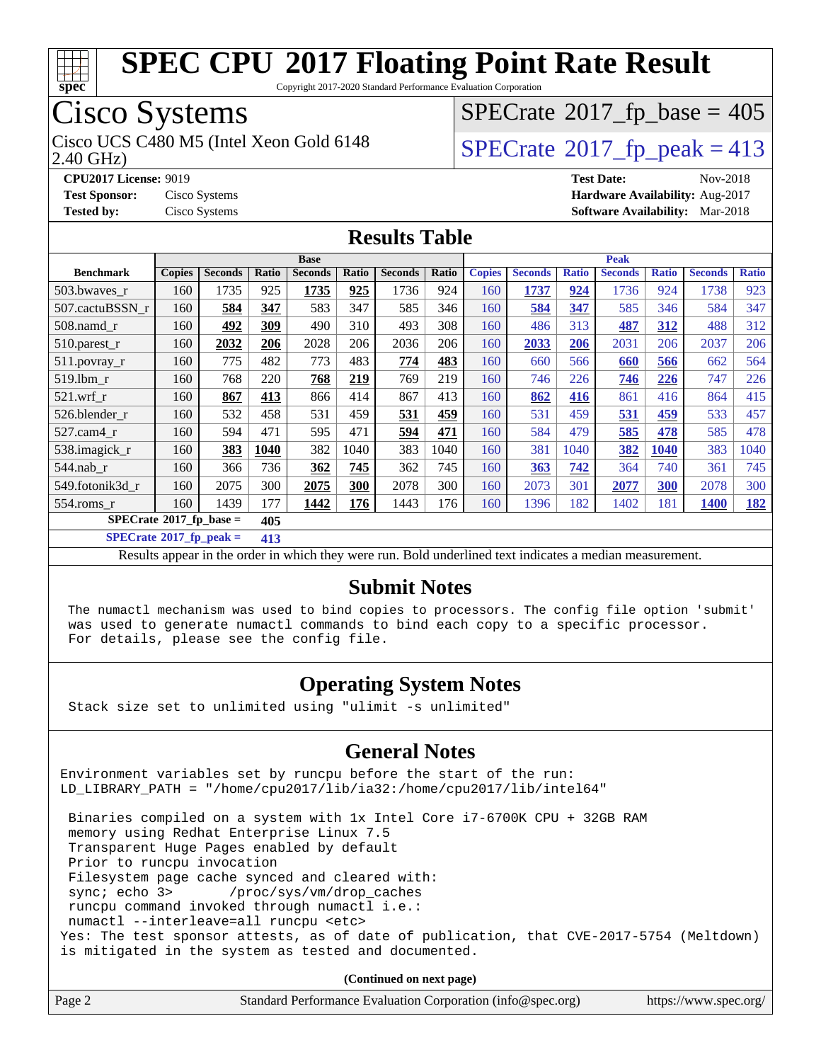

Copyright 2017-2020 Standard Performance Evaluation Corporation

# Cisco Systems

2.40 GHz) Cisco UCS C480 M5 (Intel Xeon Gold 6148  $\vert$  [SPECrate](http://www.spec.org/auto/cpu2017/Docs/result-fields.html#SPECrate2017fppeak)®[2017\\_fp\\_peak = 4](http://www.spec.org/auto/cpu2017/Docs/result-fields.html#SPECrate2017fppeak)13

 $SPECTate$ <sup>®</sup>[2017\\_fp\\_base =](http://www.spec.org/auto/cpu2017/Docs/result-fields.html#SPECrate2017fpbase) 405

**[Tested by:](http://www.spec.org/auto/cpu2017/Docs/result-fields.html#Testedby)** Cisco Systems **[Software Availability:](http://www.spec.org/auto/cpu2017/Docs/result-fields.html#SoftwareAvailability)** Mar-2018

**[CPU2017 License:](http://www.spec.org/auto/cpu2017/Docs/result-fields.html#CPU2017License)** 9019 **[Test Date:](http://www.spec.org/auto/cpu2017/Docs/result-fields.html#TestDate)** Nov-2018 **[Test Sponsor:](http://www.spec.org/auto/cpu2017/Docs/result-fields.html#TestSponsor)** Cisco Systems **[Hardware Availability:](http://www.spec.org/auto/cpu2017/Docs/result-fields.html#HardwareAvailability)** Aug-2017

**[Results Table](http://www.spec.org/auto/cpu2017/Docs/result-fields.html#ResultsTable)**

| <b>Base</b>      |                                           |                |       |                |       |                |       |               | <b>Peak</b>    |              |                |              |                |              |  |  |  |
|------------------|-------------------------------------------|----------------|-------|----------------|-------|----------------|-------|---------------|----------------|--------------|----------------|--------------|----------------|--------------|--|--|--|
| <b>Benchmark</b> | <b>Copies</b>                             | <b>Seconds</b> | Ratio | <b>Seconds</b> | Ratio | <b>Seconds</b> | Ratio | <b>Copies</b> | <b>Seconds</b> | <b>Ratio</b> | <b>Seconds</b> | <b>Ratio</b> | <b>Seconds</b> | <b>Ratio</b> |  |  |  |
| 503.bwayes_r     | 160                                       | 1735           | 925   | 1735           | 925   | 1736           | 924   | 160           | 1737           | 924          | 1736           | 924          | 1738           | 923          |  |  |  |
| 507.cactuBSSN r  | 160                                       | 584            | 347   | 583            | 347   | 585            | 346   | 160           | 584            | 347          | 585            | 346          | 584            | 347          |  |  |  |
| $508$ .namd $r$  | 160                                       | 492            | 309   | 490            | 310   | 493            | 308   | 160           | 486            | 313          | 487            | 312          | 488            | 312          |  |  |  |
| $510.parest_r$   | 160                                       | 2032           | 206   | 2028           | 206   | 2036           | 206   | 160           | 2033           | 206          | 2031           | 206          | 2037           | 206          |  |  |  |
| $511.$ povray_r  | 160                                       | 775            | 482   | 773            | 483   | 774            | 483   | 160           | 660            | 566          | 660            | 566          | 662            | 564          |  |  |  |
| 519.1bm r        | 160                                       | 768            | 220   | 768            | 219   | 769            | 219   | 160           | 746            | 226          | 746            | 226          | 747            | 226          |  |  |  |
| $521$ .wrf r     | 160                                       | 867            | 413   | 866            | 414   | 867            | 413   | 160           | 862            | 416          | 861            | 416          | 864            | 415          |  |  |  |
| 526.blender r    | 160                                       | 532            | 458   | 531            | 459   | 531            | 459   | 160           | 531            | 459          | 531            | 459          | 533            | 457          |  |  |  |
| $527$ .cam $4$ r | 160                                       | 594            | 471   | 595            | 471   | 594            | 471   | 160           | 584            | 479          | 585            | 478          | 585            | 478          |  |  |  |
| 538.imagick_r    | 160                                       | 383            | 1040  | 382            | 1040  | 383            | 1040  | 160           | 381            | 1040         | 382            | 1040         | 383            | 1040         |  |  |  |
| $544$ .nab r     | 160                                       | 366            | 736   | 362            | 745   | 362            | 745   | 160           | 363            | 742          | 364            | 740          | 361            | 745          |  |  |  |
| 549.fotonik3d r  | 160                                       | 2075           | 300   | 2075           | 300   | 2078           | 300   | 160           | 2073           | 301          | 2077           | 300          | 2078           | 300          |  |  |  |
| $554$ .roms_r    | 160                                       | 1439           | 177   | 1442           | 176   | 1443           | 176   | 160           | 1396           | 182          | 1402           | 181          | <b>1400</b>    | <u>182</u>   |  |  |  |
|                  | $SPECrate^{\otimes}2017$ fp base =<br>405 |                |       |                |       |                |       |               |                |              |                |              |                |              |  |  |  |

**[SPECrate](http://www.spec.org/auto/cpu2017/Docs/result-fields.html#SPECrate2017fppeak)[2017\\_fp\\_peak =](http://www.spec.org/auto/cpu2017/Docs/result-fields.html#SPECrate2017fppeak) 413**

Results appear in the [order in which they were run](http://www.spec.org/auto/cpu2017/Docs/result-fields.html#RunOrder). Bold underlined text [indicates a median measurement](http://www.spec.org/auto/cpu2017/Docs/result-fields.html#Median).

#### **[Submit Notes](http://www.spec.org/auto/cpu2017/Docs/result-fields.html#SubmitNotes)**

 The numactl mechanism was used to bind copies to processors. The config file option 'submit' was used to generate numactl commands to bind each copy to a specific processor. For details, please see the config file.

### **[Operating System Notes](http://www.spec.org/auto/cpu2017/Docs/result-fields.html#OperatingSystemNotes)**

Stack size set to unlimited using "ulimit -s unlimited"

#### **[General Notes](http://www.spec.org/auto/cpu2017/Docs/result-fields.html#GeneralNotes)**

Environment variables set by runcpu before the start of the run: LD\_LIBRARY\_PATH = "/home/cpu2017/lib/ia32:/home/cpu2017/lib/intel64"

 Binaries compiled on a system with 1x Intel Core i7-6700K CPU + 32GB RAM memory using Redhat Enterprise Linux 7.5 Transparent Huge Pages enabled by default Prior to runcpu invocation Filesystem page cache synced and cleared with: sync; echo 3> /proc/sys/vm/drop\_caches runcpu command invoked through numactl i.e.: numactl --interleave=all runcpu <etc> Yes: The test sponsor attests, as of date of publication, that CVE-2017-5754 (Meltdown) is mitigated in the system as tested and documented.

**(Continued on next page)**

| Page 2 | Standard Performance Evaluation Corporation (info@spec.org) | https://www.spec.org/ |
|--------|-------------------------------------------------------------|-----------------------|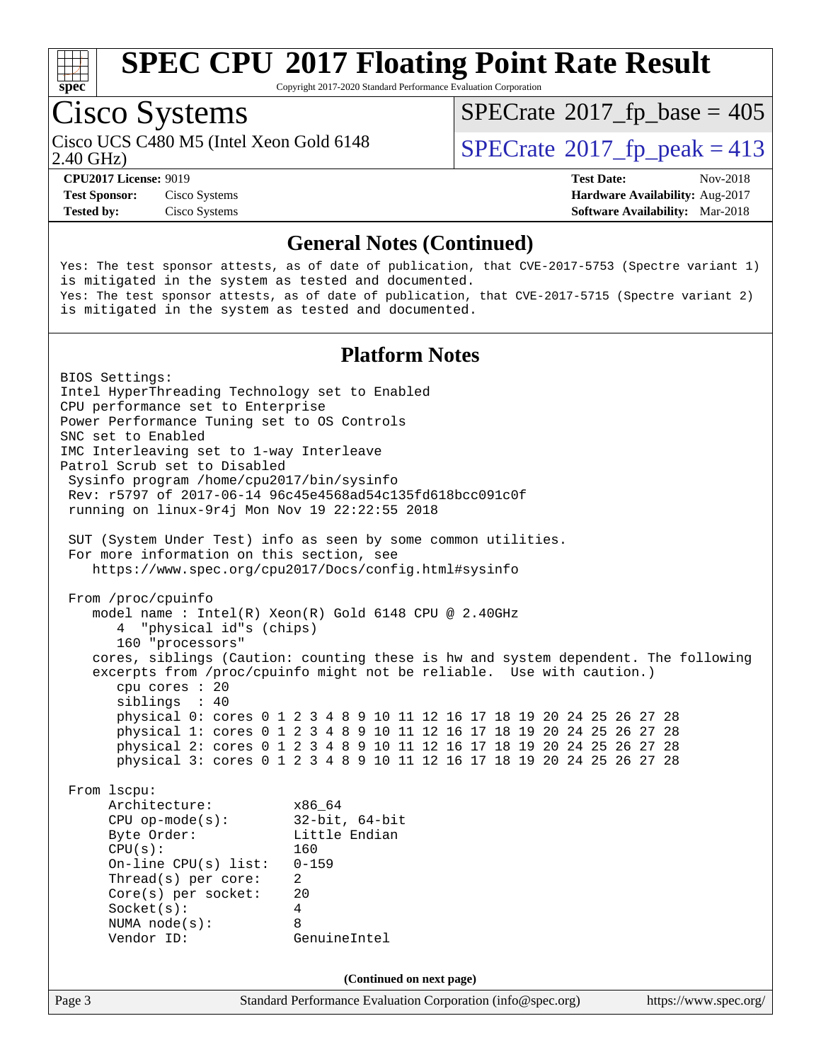

Copyright 2017-2020 Standard Performance Evaluation Corporation

# Cisco Systems

Cisco UCS C480 M5 (Intel Xeon Gold 6148  $\vert$  [SPECrate](http://www.spec.org/auto/cpu2017/Docs/result-fields.html#SPECrate2017fppeak)®[2017\\_fp\\_peak = 4](http://www.spec.org/auto/cpu2017/Docs/result-fields.html#SPECrate2017fppeak)13

 $SPECTate$ <sup>®</sup>[2017\\_fp\\_base =](http://www.spec.org/auto/cpu2017/Docs/result-fields.html#SPECrate2017fpbase) 405

2.40 GHz)

**[Tested by:](http://www.spec.org/auto/cpu2017/Docs/result-fields.html#Testedby)** Cisco Systems **[Software Availability:](http://www.spec.org/auto/cpu2017/Docs/result-fields.html#SoftwareAvailability)** Mar-2018

**[CPU2017 License:](http://www.spec.org/auto/cpu2017/Docs/result-fields.html#CPU2017License)** 9019 **[Test Date:](http://www.spec.org/auto/cpu2017/Docs/result-fields.html#TestDate)** Nov-2018 **[Test Sponsor:](http://www.spec.org/auto/cpu2017/Docs/result-fields.html#TestSponsor)** Cisco Systems **[Hardware Availability:](http://www.spec.org/auto/cpu2017/Docs/result-fields.html#HardwareAvailability)** Aug-2017

#### **[General Notes \(Continued\)](http://www.spec.org/auto/cpu2017/Docs/result-fields.html#GeneralNotes)**

Yes: The test sponsor attests, as of date of publication, that CVE-2017-5753 (Spectre variant 1) is mitigated in the system as tested and documented. Yes: The test sponsor attests, as of date of publication, that CVE-2017-5715 (Spectre variant 2) is mitigated in the system as tested and documented.

#### **[Platform Notes](http://www.spec.org/auto/cpu2017/Docs/result-fields.html#PlatformNotes)**

Page 3 Standard Performance Evaluation Corporation [\(info@spec.org\)](mailto:info@spec.org) <https://www.spec.org/> BIOS Settings: Intel HyperThreading Technology set to Enabled CPU performance set to Enterprise Power Performance Tuning set to OS Controls SNC set to Enabled IMC Interleaving set to 1-way Interleave Patrol Scrub set to Disabled Sysinfo program /home/cpu2017/bin/sysinfo Rev: r5797 of 2017-06-14 96c45e4568ad54c135fd618bcc091c0f running on linux-9r4j Mon Nov 19 22:22:55 2018 SUT (System Under Test) info as seen by some common utilities. For more information on this section, see <https://www.spec.org/cpu2017/Docs/config.html#sysinfo> From /proc/cpuinfo model name : Intel(R) Xeon(R) Gold 6148 CPU @ 2.40GHz 4 "physical id"s (chips) 160 "processors" cores, siblings (Caution: counting these is hw and system dependent. The following excerpts from /proc/cpuinfo might not be reliable. Use with caution.) cpu cores : 20 siblings : 40 physical 0: cores 0 1 2 3 4 8 9 10 11 12 16 17 18 19 20 24 25 26 27 28 physical 1: cores 0 1 2 3 4 8 9 10 11 12 16 17 18 19 20 24 25 26 27 28 physical 2: cores 0 1 2 3 4 8 9 10 11 12 16 17 18 19 20 24 25 26 27 28 physical 3: cores 0 1 2 3 4 8 9 10 11 12 16 17 18 19 20 24 25 26 27 28 From lscpu: Architecture: x86\_64 CPU op-mode(s): 32-bit, 64-bit Byte Order: Little Endian CPU(s): 160 On-line CPU(s) list: 0-159 Thread(s) per core: 2 Core(s) per socket: 20 Socket(s): 4 NUMA node(s): 8 Vendor ID: GenuineIntel **(Continued on next page)**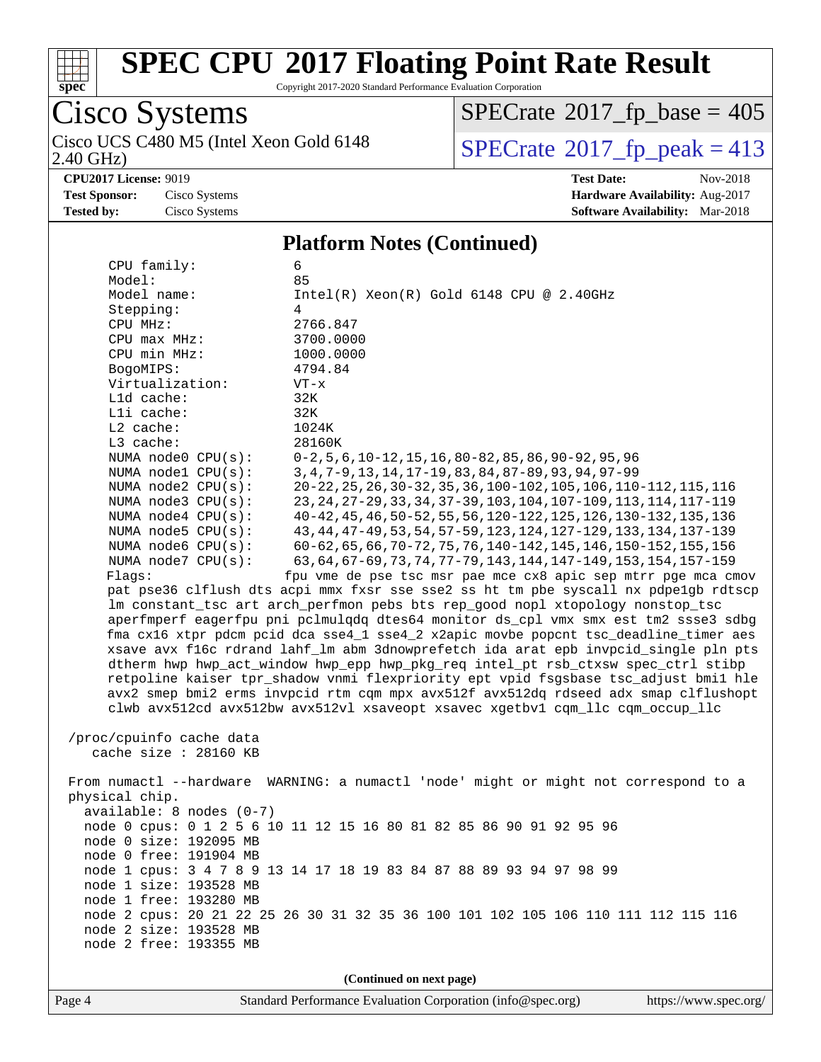

Copyright 2017-2020 Standard Performance Evaluation Corporation

### Cisco Systems<br>Cisco UCS C480 M5 (Intel Xeon Gold 6148) 2.40 GHz)

 $SPECrate$ <sup>®</sup>[2017\\_fp\\_base =](http://www.spec.org/auto/cpu2017/Docs/result-fields.html#SPECrate2017fpbase) 405

 $SPECTate$ <sup>®</sup>[2017\\_fp\\_peak = 4](http://www.spec.org/auto/cpu2017/Docs/result-fields.html#SPECrate2017fppeak)13

**[CPU2017 License:](http://www.spec.org/auto/cpu2017/Docs/result-fields.html#CPU2017License)** 9019 **[Test Date:](http://www.spec.org/auto/cpu2017/Docs/result-fields.html#TestDate)** Nov-2018 **[Test Sponsor:](http://www.spec.org/auto/cpu2017/Docs/result-fields.html#TestSponsor)** Cisco Systems **[Hardware Availability:](http://www.spec.org/auto/cpu2017/Docs/result-fields.html#HardwareAvailability)** Aug-2017 **[Tested by:](http://www.spec.org/auto/cpu2017/Docs/result-fields.html#Testedby)** Cisco Systems **[Software Availability:](http://www.spec.org/auto/cpu2017/Docs/result-fields.html#SoftwareAvailability)** Mar-2018

#### **[Platform Notes \(Continued\)](http://www.spec.org/auto/cpu2017/Docs/result-fields.html#PlatformNotes)**

| CPU family:                | 6                                                                                    |
|----------------------------|--------------------------------------------------------------------------------------|
| Model:                     | 85                                                                                   |
| Model name:                | $Intel(R)$ Xeon $(R)$ Gold 6148 CPU @ 2.40GHz                                        |
| Stepping:                  | 4                                                                                    |
| CPU MHz:                   | 2766.847                                                                             |
| $CPU$ max $MHz$ :          | 3700.0000                                                                            |
| CPU min MHz:               | 1000.0000                                                                            |
| BogoMIPS:                  | 4794.84                                                                              |
| Virtualization:            | $VT - x$                                                                             |
| Lld cache:                 | 32K                                                                                  |
| Lli cache:                 | 32K                                                                                  |
| L2 cache:                  | 1024K                                                                                |
| $L3$ cache:                | 28160K                                                                               |
| NUMA node0 CPU(s):         | $0-2, 5, 6, 10-12, 15, 16, 80-82, 85, 86, 90-92, 95, 96$                             |
| NUMA nodel CPU(s):         | 3, 4, 7-9, 13, 14, 17-19, 83, 84, 87-89, 93, 94, 97-99                               |
| NUMA node2 CPU(s):         | 20-22, 25, 26, 30-32, 35, 36, 100-102, 105, 106, 110-112, 115, 116                   |
| NUMA node3 CPU(s):         | 23, 24, 27-29, 33, 34, 37-39, 103, 104, 107-109, 113, 114, 117-119                   |
| NUMA $node4$ $CPU(s):$     | 40-42, 45, 46, 50-52, 55, 56, 120-122, 125, 126, 130-132, 135, 136                   |
| NUMA node5 CPU(s):         | 43, 44, 47-49, 53, 54, 57-59, 123, 124, 127-129, 133, 134, 137-139                   |
| NUMA node6 CPU(s):         | 60-62, 65, 66, 70-72, 75, 76, 140-142, 145, 146, 150-152, 155, 156                   |
| NUMA node7 CPU(s):         | 63, 64, 67-69, 73, 74, 77-79, 143, 144, 147-149, 153, 154, 157-159                   |
| Flags:                     | fpu vme de pse tsc msr pae mce cx8 apic sep mtrr pge mca cmov                        |
|                            | pat pse36 clflush dts acpi mmx fxsr sse sse2 ss ht tm pbe syscall nx pdpe1qb rdtscp  |
|                            | lm constant_tsc art arch_perfmon pebs bts rep_good nopl xtopology nonstop_tsc        |
|                            | aperfmperf eagerfpu pni pclmulqdq dtes64 monitor ds_cpl vmx smx est tm2 ssse3 sdbg   |
|                            | fma cx16 xtpr pdcm pcid dca sse4_1 sse4_2 x2apic movbe popcnt tsc_deadline_timer aes |
|                            | xsave avx f16c rdrand lahf_lm abm 3dnowprefetch ida arat epb invpcid_single pln pts  |
|                            | dtherm hwp hwp_act_window hwp_epp hwp_pkg_req intel_pt rsb_ctxsw spec_ctrl stibp     |
|                            | retpoline kaiser tpr_shadow vnmi flexpriority ept vpid fsgsbase tsc_adjust bmil hle  |
|                            | avx2 smep bmi2 erms invpcid rtm cqm mpx avx512f avx512dq rdseed adx smap clflushopt  |
|                            | clwb avx512cd avx512bw avx512vl xsaveopt xsavec xgetbvl cqm_llc cqm_occup_llc        |
|                            |                                                                                      |
| /proc/cpuinfo cache data   |                                                                                      |
| cache size $: 28160$ KB    |                                                                                      |
|                            |                                                                                      |
|                            | From numactl --hardware WARNING: a numactl 'node' might or might not correspond to a |
| physical chip.             |                                                                                      |
| $available: 8 nodes (0-7)$ |                                                                                      |
|                            | node 0 cpus: 0 1 2 5 6 10 11 12 15 16 80 81 82 85 86 90 91 92 95 96                  |
| node 0 size: 192095 MB     |                                                                                      |
| node 0 free: 191904 MB     |                                                                                      |
|                            | node 1 cpus: 3 4 7 8 9 13 14 17 18 19 83 84 87 88 89 93 94 97 98 99                  |
| node 1 size: 193528 MB     |                                                                                      |
| node 1 free: 193280 MB     |                                                                                      |
| node 2 size: 193528 MB     | node 2 cpus: 20 21 22 25 26 30 31 32 35 36 100 101 102 105 106 110 111 112 115 116   |
| node 2 free: 193355 MB     |                                                                                      |
|                            |                                                                                      |
|                            |                                                                                      |
|                            | (Continued on next page)                                                             |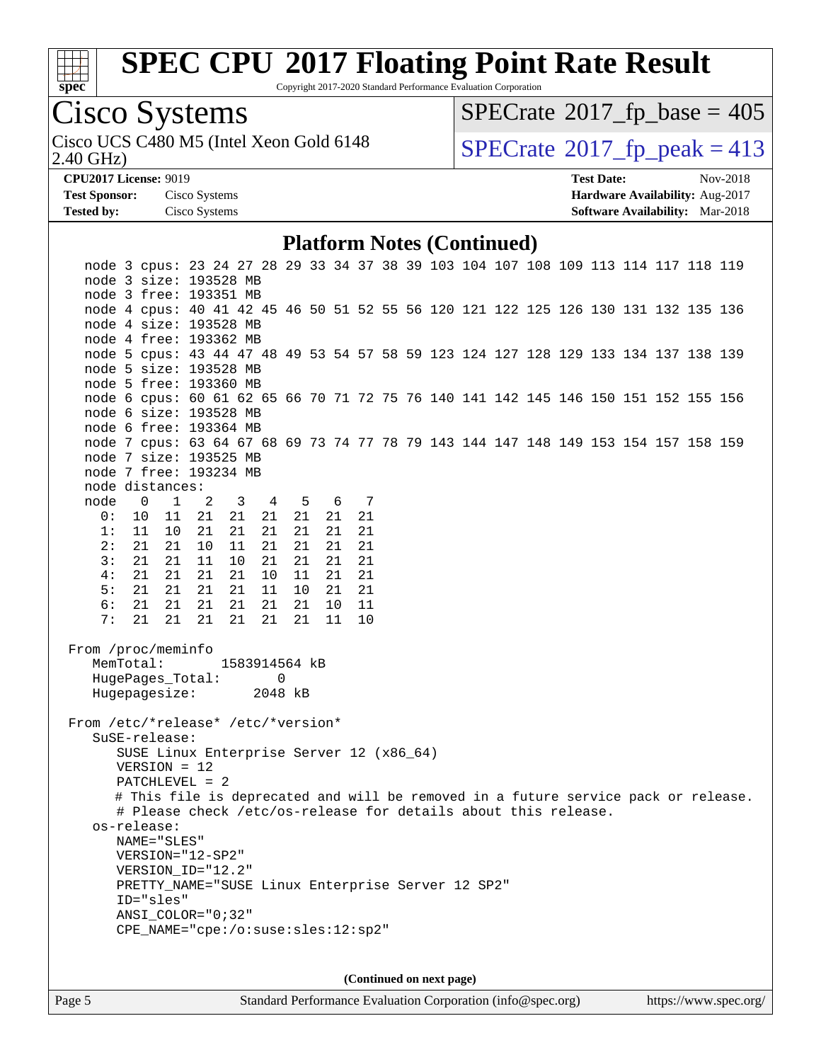

Copyright 2017-2020 Standard Performance Evaluation Corporation

Cisco Systems

2.40 GHz) Cisco UCS C480 M5 (Intel Xeon Gold 6148  $\big|$  [SPECrate](http://www.spec.org/auto/cpu2017/Docs/result-fields.html#SPECrate2017fppeak)®[2017\\_fp\\_peak = 4](http://www.spec.org/auto/cpu2017/Docs/result-fields.html#SPECrate2017fppeak)13

 $SPECrate$ <sup>®</sup>[2017\\_fp\\_base =](http://www.spec.org/auto/cpu2017/Docs/result-fields.html#SPECrate2017fpbase) 405

**[Test Sponsor:](http://www.spec.org/auto/cpu2017/Docs/result-fields.html#TestSponsor)** Cisco Systems **[Hardware Availability:](http://www.spec.org/auto/cpu2017/Docs/result-fields.html#HardwareAvailability)** Aug-2017 **[Tested by:](http://www.spec.org/auto/cpu2017/Docs/result-fields.html#Testedby)** Cisco Systems **[Software Availability:](http://www.spec.org/auto/cpu2017/Docs/result-fields.html#SoftwareAvailability)** Mar-2018

**[CPU2017 License:](http://www.spec.org/auto/cpu2017/Docs/result-fields.html#CPU2017License)** 9019 **[Test Date:](http://www.spec.org/auto/cpu2017/Docs/result-fields.html#TestDate)** Nov-2018

#### **[Platform Notes \(Continued\)](http://www.spec.org/auto/cpu2017/Docs/result-fields.html#PlatformNotes)**

| node 3 cpus: 23 24 27 28 29 33 34 37 38 39 103 104 107 108 109 113 114 117 118 119<br>node 3 size: 193528 MB |                                                                |                |                                                                |                        |    |       |  |      |    |  |                          |  |  |  |  |                                                                                    |
|--------------------------------------------------------------------------------------------------------------|----------------------------------------------------------------|----------------|----------------------------------------------------------------|------------------------|----|-------|--|------|----|--|--------------------------|--|--|--|--|------------------------------------------------------------------------------------|
| node 3 free: 193351 MB                                                                                       |                                                                |                |                                                                |                        |    |       |  |      |    |  |                          |  |  |  |  |                                                                                    |
| node 4 cpus: 40 41 42 45 46 50 51 52 55 56 120 121 122 125 126 130 131 132 135 136                           |                                                                |                |                                                                |                        |    |       |  |      |    |  |                          |  |  |  |  |                                                                                    |
| node 4 size: 193528 MB                                                                                       |                                                                |                |                                                                |                        |    |       |  |      |    |  |                          |  |  |  |  |                                                                                    |
| node 4 free: 193362 MB                                                                                       |                                                                |                |                                                                |                        |    |       |  |      |    |  |                          |  |  |  |  |                                                                                    |
| node 5 cpus: 43 44 47 48 49 53 54 57 58 59 123 124 127 128 129 133 134 137 138 139                           |                                                                |                |                                                                |                        |    |       |  |      |    |  |                          |  |  |  |  |                                                                                    |
| node 5 size: 193528 MB                                                                                       |                                                                |                |                                                                |                        |    |       |  |      |    |  |                          |  |  |  |  |                                                                                    |
| node 5 free: 193360 MB                                                                                       |                                                                |                |                                                                |                        |    |       |  |      |    |  |                          |  |  |  |  |                                                                                    |
|                                                                                                              |                                                                |                |                                                                |                        |    |       |  |      |    |  |                          |  |  |  |  |                                                                                    |
| node 6 cpus: 60 61 62 65 66 70 71 72 75 76 140 141 142 145 146 150 151 152 155 156<br>node 6 size: 193528 MB |                                                                |                |                                                                |                        |    |       |  |      |    |  |                          |  |  |  |  |                                                                                    |
|                                                                                                              |                                                                |                |                                                                |                        |    |       |  |      |    |  |                          |  |  |  |  |                                                                                    |
| node 6 free: 193364 MB                                                                                       |                                                                |                |                                                                |                        |    |       |  |      |    |  |                          |  |  |  |  |                                                                                    |
| node 7 cpus: 63 64 67 68 69 73 74 77 78 79 143 144 147 148 149 153 154 157 158 159                           |                                                                |                |                                                                |                        |    |       |  |      |    |  |                          |  |  |  |  |                                                                                    |
| node 7 size: 193525 MB                                                                                       |                                                                |                |                                                                |                        |    |       |  |      |    |  |                          |  |  |  |  |                                                                                    |
| node 7 free: 193234 MB                                                                                       |                                                                |                |                                                                |                        |    |       |  |      |    |  |                          |  |  |  |  |                                                                                    |
| node distances:                                                                                              |                                                                |                |                                                                |                        |    |       |  |      |    |  |                          |  |  |  |  |                                                                                    |
| node                                                                                                         | $\overline{0}$                                                 | $\overline{1}$ | 2 3 4 5                                                        |                        |    |       |  | 6 7  |    |  |                          |  |  |  |  |                                                                                    |
|                                                                                                              | 0: 10 11 21                                                    |                |                                                                | 21                     | 21 | 21    |  | 21   | 21 |  |                          |  |  |  |  |                                                                                    |
| 1:                                                                                                           |                                                                | 11 10          | 21                                                             | 21                     | 21 | 21    |  | 21   | 21 |  |                          |  |  |  |  |                                                                                    |
| 2:                                                                                                           |                                                                | 21 21          | 10                                                             | 11                     |    | 21 21 |  | 21   | 21 |  |                          |  |  |  |  |                                                                                    |
| 3:                                                                                                           |                                                                | 21 21          | 11                                                             | 10                     |    | 21 21 |  | 21   | 21 |  |                          |  |  |  |  |                                                                                    |
| 4:                                                                                                           | 21                                                             | 21             | 21                                                             | 21                     |    | 10 11 |  | 21   | 21 |  |                          |  |  |  |  |                                                                                    |
| 5:                                                                                                           |                                                                |                | 21  21  21                                                     | $21 \quad 11 \quad 10$ |    |       |  | 21   | 21 |  |                          |  |  |  |  |                                                                                    |
| 6:                                                                                                           |                                                                | 21 21          | 21                                                             | 21                     |    | 21 21 |  | 10   | 11 |  |                          |  |  |  |  |                                                                                    |
| 7:                                                                                                           | 21                                                             |                | 21 21                                                          | 21                     |    | 21 21 |  | - 11 | 10 |  |                          |  |  |  |  |                                                                                    |
|                                                                                                              |                                                                |                |                                                                |                        |    |       |  |      |    |  |                          |  |  |  |  |                                                                                    |
| From /proc/meminfo                                                                                           |                                                                |                |                                                                |                        |    |       |  |      |    |  |                          |  |  |  |  |                                                                                    |
|                                                                                                              | MemTotal:                                                      |                |                                                                | 1583914564 kB          |    |       |  |      |    |  |                          |  |  |  |  |                                                                                    |
|                                                                                                              |                                                                |                | HugePages_Total:                                               |                        |    | 0     |  |      |    |  |                          |  |  |  |  |                                                                                    |
|                                                                                                              |                                                                |                | Hugepagesize: 2048 kB                                          |                        |    |       |  |      |    |  |                          |  |  |  |  |                                                                                    |
| From /etc/*release* /etc/*version*                                                                           |                                                                |                |                                                                |                        |    |       |  |      |    |  |                          |  |  |  |  |                                                                                    |
|                                                                                                              | SuSE-release:                                                  |                |                                                                |                        |    |       |  |      |    |  |                          |  |  |  |  |                                                                                    |
|                                                                                                              |                                                                |                | SUSE Linux Enterprise Server 12 (x86_64)                       |                        |    |       |  |      |    |  |                          |  |  |  |  |                                                                                    |
|                                                                                                              | $VERSION = 12$                                                 |                |                                                                |                        |    |       |  |      |    |  |                          |  |  |  |  |                                                                                    |
|                                                                                                              |                                                                |                | $PATCHLEVEL = 2$                                               |                        |    |       |  |      |    |  |                          |  |  |  |  |                                                                                    |
|                                                                                                              |                                                                |                |                                                                |                        |    |       |  |      |    |  |                          |  |  |  |  | # This file is deprecated and will be removed in a future service pack or release. |
|                                                                                                              |                                                                |                | # Please check /etc/os-release for details about this release. |                        |    |       |  |      |    |  |                          |  |  |  |  |                                                                                    |
|                                                                                                              | os-release:                                                    |                |                                                                |                        |    |       |  |      |    |  |                          |  |  |  |  |                                                                                    |
|                                                                                                              |                                                                |                |                                                                |                        |    |       |  |      |    |  |                          |  |  |  |  |                                                                                    |
|                                                                                                              | NAME="SLES"<br>$VERSION = "12-SP2"$                            |                |                                                                |                        |    |       |  |      |    |  |                          |  |  |  |  |                                                                                    |
|                                                                                                              |                                                                |                | VERSION_ID="12.2"                                              |                        |    |       |  |      |    |  |                          |  |  |  |  |                                                                                    |
|                                                                                                              |                                                                |                |                                                                |                        |    |       |  |      |    |  |                          |  |  |  |  |                                                                                    |
|                                                                                                              | PRETTY_NAME="SUSE Linux Enterprise Server 12 SP2"<br>ID="sles" |                |                                                                |                        |    |       |  |      |    |  |                          |  |  |  |  |                                                                                    |
|                                                                                                              | $ANSI$ _COLOR=" $0:32$ "                                       |                |                                                                |                        |    |       |  |      |    |  |                          |  |  |  |  |                                                                                    |
| CPE_NAME="cpe:/o:suse:sles:12:sp2"                                                                           |                                                                |                |                                                                |                        |    |       |  |      |    |  |                          |  |  |  |  |                                                                                    |
|                                                                                                              |                                                                |                |                                                                |                        |    |       |  |      |    |  |                          |  |  |  |  |                                                                                    |
|                                                                                                              |                                                                |                |                                                                |                        |    |       |  |      |    |  |                          |  |  |  |  |                                                                                    |
|                                                                                                              |                                                                |                |                                                                |                        |    |       |  |      |    |  |                          |  |  |  |  |                                                                                    |
|                                                                                                              |                                                                |                |                                                                |                        |    |       |  |      |    |  | (Continued on next page) |  |  |  |  |                                                                                    |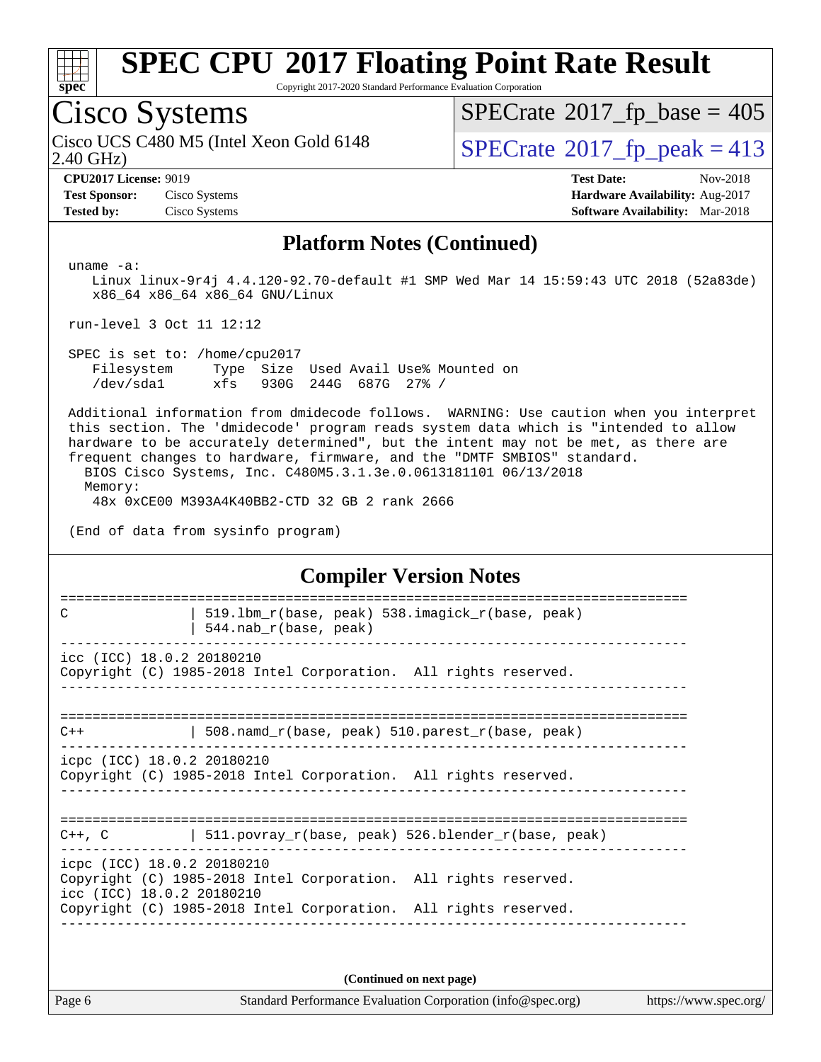

Copyright 2017-2020 Standard Performance Evaluation Corporation

# Cisco Systems

2.40 GHz) Cisco UCS C480 M5 (Intel Xeon Gold 6148  $\vert$  [SPECrate](http://www.spec.org/auto/cpu2017/Docs/result-fields.html#SPECrate2017fppeak)®[2017\\_fp\\_peak = 4](http://www.spec.org/auto/cpu2017/Docs/result-fields.html#SPECrate2017fppeak)13

 $SPECTate$ <sup>®</sup>[2017\\_fp\\_base =](http://www.spec.org/auto/cpu2017/Docs/result-fields.html#SPECrate2017fpbase) 405

**[Test Sponsor:](http://www.spec.org/auto/cpu2017/Docs/result-fields.html#TestSponsor)** Cisco Systems **[Hardware Availability:](http://www.spec.org/auto/cpu2017/Docs/result-fields.html#HardwareAvailability)** Aug-2017 **[Tested by:](http://www.spec.org/auto/cpu2017/Docs/result-fields.html#Testedby)** Cisco Systems **[Software Availability:](http://www.spec.org/auto/cpu2017/Docs/result-fields.html#SoftwareAvailability)** Mar-2018

**[CPU2017 License:](http://www.spec.org/auto/cpu2017/Docs/result-fields.html#CPU2017License)** 9019 **[Test Date:](http://www.spec.org/auto/cpu2017/Docs/result-fields.html#TestDate)** Nov-2018

#### **[Platform Notes \(Continued\)](http://www.spec.org/auto/cpu2017/Docs/result-fields.html#PlatformNotes)**

uname -a:

 Linux linux-9r4j 4.4.120-92.70-default #1 SMP Wed Mar 14 15:59:43 UTC 2018 (52a83de) x86\_64 x86\_64 x86\_64 GNU/Linux

run-level 3 Oct 11 12:12

 SPEC is set to: /home/cpu2017 Filesystem Type Size Used Avail Use% Mounted on /dev/sda1 xfs 930G 244G 687G 27% /

 Additional information from dmidecode follows. WARNING: Use caution when you interpret this section. The 'dmidecode' program reads system data which is "intended to allow hardware to be accurately determined", but the intent may not be met, as there are frequent changes to hardware, firmware, and the "DMTF SMBIOS" standard. BIOS Cisco Systems, Inc. C480M5.3.1.3e.0.0613181101 06/13/2018 Memory:

48x 0xCE00 M393A4K40BB2-CTD 32 GB 2 rank 2666

(End of data from sysinfo program)

#### **[Compiler Version Notes](http://www.spec.org/auto/cpu2017/Docs/result-fields.html#CompilerVersionNotes)**

============================================================================== C  $\vert$  519.1bm r(base, peak) 538.imagick r(base, peak) | 544.nab $r(base, peak)$ ----------------------------------------------------------------------------- icc (ICC) 18.0.2 20180210 Copyright (C) 1985-2018 Intel Corporation. All rights reserved. ------------------------------------------------------------------------------ ==============================================================================  $C++$  | 508.namd\_r(base, peak) 510.parest\_r(base, peak) ----------------------------------------------------------------------------- icpc (ICC) 18.0.2 20180210 Copyright (C) 1985-2018 Intel Corporation. All rights reserved. ------------------------------------------------------------------------------ ============================================================================== C++, C  $| 511.povray_r(base, peak) 526.blender_r(base, peak)$ ----------------------------------------------------------------------------- icpc (ICC) 18.0.2 20180210 Copyright (C) 1985-2018 Intel Corporation. All rights reserved. icc (ICC) 18.0.2 20180210

Copyright (C) 1985-2018 Intel Corporation. All rights reserved. ------------------------------------------------------------------------------

**(Continued on next page)**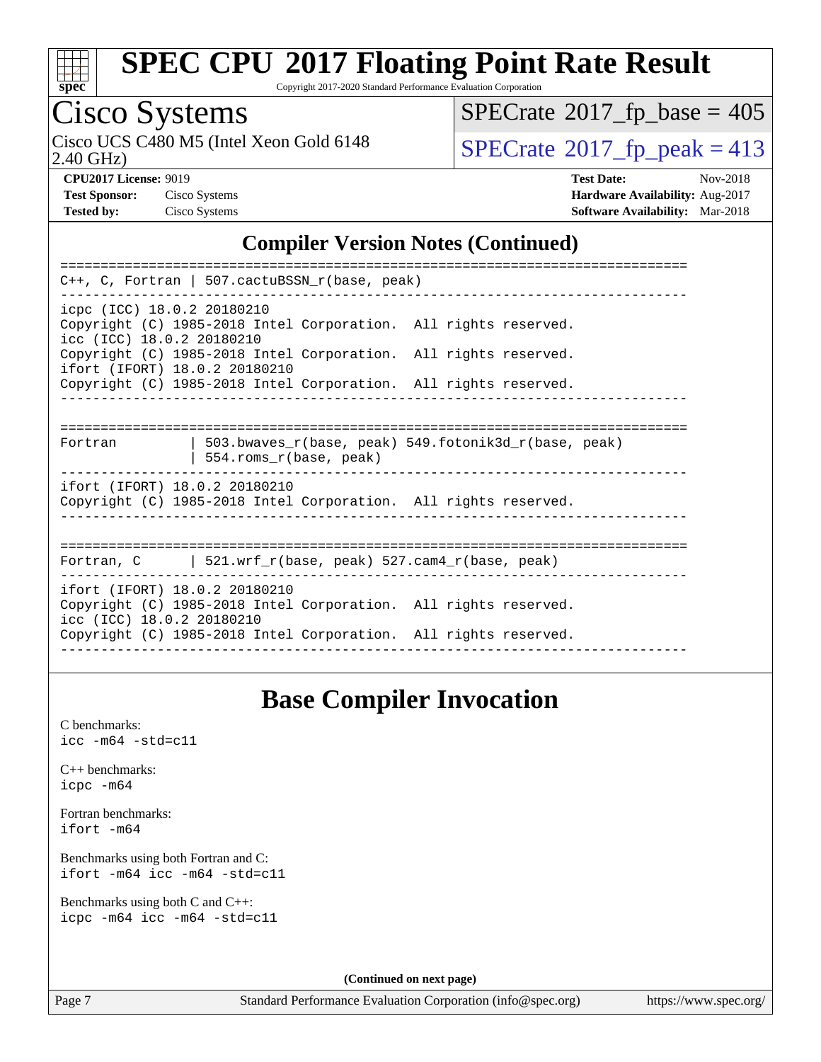

Copyright 2017-2020 Standard Performance Evaluation Corporation

# Cisco Systems<br>Cisco UCS C480 M5 (Intel Xeon Gold 6148)

2.40 GHz)

 $SPECrate$ <sup>®</sup>[2017\\_fp\\_base =](http://www.spec.org/auto/cpu2017/Docs/result-fields.html#SPECrate2017fpbase) 405

 $SPECTate@2017_fp\_peak = 413$ 

| <b>Test Sponsor:</b> | Cisco Systems |
|----------------------|---------------|
| <b>Tested by:</b>    | Cisco Systems |

**[CPU2017 License:](http://www.spec.org/auto/cpu2017/Docs/result-fields.html#CPU2017License)** 9019 **[Test Date:](http://www.spec.org/auto/cpu2017/Docs/result-fields.html#TestDate)** Nov-2018 **Test Systems Systems Systems Systems Systems Systems Systems Systems Systems Systems Systems Systems Systems Systems Systems Systems Systems Systems Systems Systems Systems Systems Systems Systems Systems Systems Systems [Tested by:](http://www.spec.org/auto/cpu2017/Docs/result-fields.html#Testedby)** Cisco Systems **[Software Availability:](http://www.spec.org/auto/cpu2017/Docs/result-fields.html#SoftwareAvailability)** Mar-2018

#### **[Compiler Version Notes \(Continued\)](http://www.spec.org/auto/cpu2017/Docs/result-fields.html#CompilerVersionNotes)**

| $C++$ , C, Fortran   507.cactuBSSN_r(base, peak)                                                                              |  |  |  |  |  |  |  |  |
|-------------------------------------------------------------------------------------------------------------------------------|--|--|--|--|--|--|--|--|
| icpc (ICC) 18.0.2 20180210<br>Copyright (C) 1985-2018 Intel Corporation. All rights reserved.<br>icc (ICC) 18.0.2 20180210    |  |  |  |  |  |  |  |  |
| Copyright (C) 1985-2018 Intel Corporation. All rights reserved.<br>ifort (IFORT) 18.0.2 20180210                              |  |  |  |  |  |  |  |  |
| Copyright (C) 1985-2018 Intel Corporation. All rights reserved.                                                               |  |  |  |  |  |  |  |  |
|                                                                                                                               |  |  |  |  |  |  |  |  |
|                                                                                                                               |  |  |  |  |  |  |  |  |
| 503.bwayes $r(base, peak)$ 549.fotonik3d $r(base, peak)$<br>Fortran<br>554.roms_r(base, peak)                                 |  |  |  |  |  |  |  |  |
| ifort (IFORT) 18.0.2 20180210<br>Copyright (C) 1985-2018 Intel Corporation. All rights reserved.                              |  |  |  |  |  |  |  |  |
|                                                                                                                               |  |  |  |  |  |  |  |  |
| Fortran, C $\vert$ 521.wrf r(base, peak) 527.cam4 r(base, peak)                                                               |  |  |  |  |  |  |  |  |
| ifort (IFORT) 18.0.2 20180210<br>Copyright (C) 1985-2018 Intel Corporation. All rights reserved.<br>icc (ICC) 18.0.2 20180210 |  |  |  |  |  |  |  |  |
| Copyright (C) 1985-2018 Intel Corporation. All rights reserved.                                                               |  |  |  |  |  |  |  |  |
|                                                                                                                               |  |  |  |  |  |  |  |  |

### **[Base Compiler Invocation](http://www.spec.org/auto/cpu2017/Docs/result-fields.html#BaseCompilerInvocation)**

[C benchmarks](http://www.spec.org/auto/cpu2017/Docs/result-fields.html#Cbenchmarks): [icc -m64 -std=c11](http://www.spec.org/cpu2017/results/res2018q4/cpu2017-20181127-09971.flags.html#user_CCbase_intel_icc_64bit_c11_33ee0cdaae7deeeab2a9725423ba97205ce30f63b9926c2519791662299b76a0318f32ddfffdc46587804de3178b4f9328c46fa7c2b0cd779d7a61945c91cd35)

[C++ benchmarks:](http://www.spec.org/auto/cpu2017/Docs/result-fields.html#CXXbenchmarks) [icpc -m64](http://www.spec.org/cpu2017/results/res2018q4/cpu2017-20181127-09971.flags.html#user_CXXbase_intel_icpc_64bit_4ecb2543ae3f1412ef961e0650ca070fec7b7afdcd6ed48761b84423119d1bf6bdf5cad15b44d48e7256388bc77273b966e5eb805aefd121eb22e9299b2ec9d9)

[Fortran benchmarks](http://www.spec.org/auto/cpu2017/Docs/result-fields.html#Fortranbenchmarks): [ifort -m64](http://www.spec.org/cpu2017/results/res2018q4/cpu2017-20181127-09971.flags.html#user_FCbase_intel_ifort_64bit_24f2bb282fbaeffd6157abe4f878425411749daecae9a33200eee2bee2fe76f3b89351d69a8130dd5949958ce389cf37ff59a95e7a40d588e8d3a57e0c3fd751)

[Benchmarks using both Fortran and C](http://www.spec.org/auto/cpu2017/Docs/result-fields.html#BenchmarksusingbothFortranandC): [ifort -m64](http://www.spec.org/cpu2017/results/res2018q4/cpu2017-20181127-09971.flags.html#user_CC_FCbase_intel_ifort_64bit_24f2bb282fbaeffd6157abe4f878425411749daecae9a33200eee2bee2fe76f3b89351d69a8130dd5949958ce389cf37ff59a95e7a40d588e8d3a57e0c3fd751) [icc -m64 -std=c11](http://www.spec.org/cpu2017/results/res2018q4/cpu2017-20181127-09971.flags.html#user_CC_FCbase_intel_icc_64bit_c11_33ee0cdaae7deeeab2a9725423ba97205ce30f63b9926c2519791662299b76a0318f32ddfffdc46587804de3178b4f9328c46fa7c2b0cd779d7a61945c91cd35)

[Benchmarks using both C and C++](http://www.spec.org/auto/cpu2017/Docs/result-fields.html#BenchmarksusingbothCandCXX): [icpc -m64](http://www.spec.org/cpu2017/results/res2018q4/cpu2017-20181127-09971.flags.html#user_CC_CXXbase_intel_icpc_64bit_4ecb2543ae3f1412ef961e0650ca070fec7b7afdcd6ed48761b84423119d1bf6bdf5cad15b44d48e7256388bc77273b966e5eb805aefd121eb22e9299b2ec9d9) [icc -m64 -std=c11](http://www.spec.org/cpu2017/results/res2018q4/cpu2017-20181127-09971.flags.html#user_CC_CXXbase_intel_icc_64bit_c11_33ee0cdaae7deeeab2a9725423ba97205ce30f63b9926c2519791662299b76a0318f32ddfffdc46587804de3178b4f9328c46fa7c2b0cd779d7a61945c91cd35)

**(Continued on next page)**

Page 7 Standard Performance Evaluation Corporation [\(info@spec.org\)](mailto:info@spec.org) <https://www.spec.org/>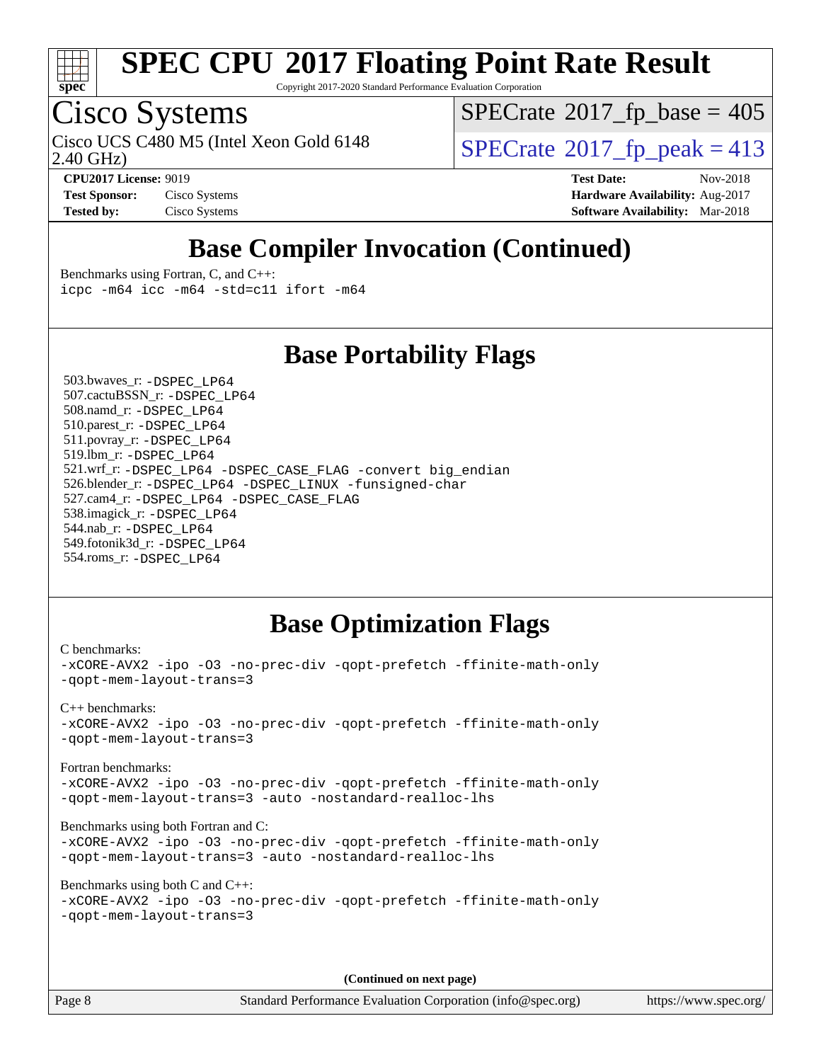

Copyright 2017-2020 Standard Performance Evaluation Corporation

### Cisco Systems

2.40 GHz) Cisco UCS C480 M5 (Intel Xeon Gold 6148  $\vert$  [SPECrate](http://www.spec.org/auto/cpu2017/Docs/result-fields.html#SPECrate2017fppeak)®[2017\\_fp\\_peak = 4](http://www.spec.org/auto/cpu2017/Docs/result-fields.html#SPECrate2017fppeak)13

 $SPECTate$ <sup>®</sup>[2017\\_fp\\_base =](http://www.spec.org/auto/cpu2017/Docs/result-fields.html#SPECrate2017fpbase) 405

**[Test Sponsor:](http://www.spec.org/auto/cpu2017/Docs/result-fields.html#TestSponsor)** Cisco Systems **[Hardware Availability:](http://www.spec.org/auto/cpu2017/Docs/result-fields.html#HardwareAvailability)** Aug-2017 **[Tested by:](http://www.spec.org/auto/cpu2017/Docs/result-fields.html#Testedby)** Cisco Systems **[Software Availability:](http://www.spec.org/auto/cpu2017/Docs/result-fields.html#SoftwareAvailability)** Mar-2018

**[CPU2017 License:](http://www.spec.org/auto/cpu2017/Docs/result-fields.html#CPU2017License)** 9019 **[Test Date:](http://www.spec.org/auto/cpu2017/Docs/result-fields.html#TestDate)** Nov-2018

### **[Base Compiler Invocation \(Continued\)](http://www.spec.org/auto/cpu2017/Docs/result-fields.html#BaseCompilerInvocation)**

[Benchmarks using Fortran, C, and C++:](http://www.spec.org/auto/cpu2017/Docs/result-fields.html#BenchmarksusingFortranCandCXX) [icpc -m64](http://www.spec.org/cpu2017/results/res2018q4/cpu2017-20181127-09971.flags.html#user_CC_CXX_FCbase_intel_icpc_64bit_4ecb2543ae3f1412ef961e0650ca070fec7b7afdcd6ed48761b84423119d1bf6bdf5cad15b44d48e7256388bc77273b966e5eb805aefd121eb22e9299b2ec9d9) [icc -m64 -std=c11](http://www.spec.org/cpu2017/results/res2018q4/cpu2017-20181127-09971.flags.html#user_CC_CXX_FCbase_intel_icc_64bit_c11_33ee0cdaae7deeeab2a9725423ba97205ce30f63b9926c2519791662299b76a0318f32ddfffdc46587804de3178b4f9328c46fa7c2b0cd779d7a61945c91cd35) [ifort -m64](http://www.spec.org/cpu2017/results/res2018q4/cpu2017-20181127-09971.flags.html#user_CC_CXX_FCbase_intel_ifort_64bit_24f2bb282fbaeffd6157abe4f878425411749daecae9a33200eee2bee2fe76f3b89351d69a8130dd5949958ce389cf37ff59a95e7a40d588e8d3a57e0c3fd751)

### **[Base Portability Flags](http://www.spec.org/auto/cpu2017/Docs/result-fields.html#BasePortabilityFlags)**

 503.bwaves\_r: [-DSPEC\\_LP64](http://www.spec.org/cpu2017/results/res2018q4/cpu2017-20181127-09971.flags.html#suite_basePORTABILITY503_bwaves_r_DSPEC_LP64) 507.cactuBSSN\_r: [-DSPEC\\_LP64](http://www.spec.org/cpu2017/results/res2018q4/cpu2017-20181127-09971.flags.html#suite_basePORTABILITY507_cactuBSSN_r_DSPEC_LP64) 508.namd\_r: [-DSPEC\\_LP64](http://www.spec.org/cpu2017/results/res2018q4/cpu2017-20181127-09971.flags.html#suite_basePORTABILITY508_namd_r_DSPEC_LP64) 510.parest\_r: [-DSPEC\\_LP64](http://www.spec.org/cpu2017/results/res2018q4/cpu2017-20181127-09971.flags.html#suite_basePORTABILITY510_parest_r_DSPEC_LP64) 511.povray\_r: [-DSPEC\\_LP64](http://www.spec.org/cpu2017/results/res2018q4/cpu2017-20181127-09971.flags.html#suite_basePORTABILITY511_povray_r_DSPEC_LP64) 519.lbm\_r: [-DSPEC\\_LP64](http://www.spec.org/cpu2017/results/res2018q4/cpu2017-20181127-09971.flags.html#suite_basePORTABILITY519_lbm_r_DSPEC_LP64) 521.wrf\_r: [-DSPEC\\_LP64](http://www.spec.org/cpu2017/results/res2018q4/cpu2017-20181127-09971.flags.html#suite_basePORTABILITY521_wrf_r_DSPEC_LP64) [-DSPEC\\_CASE\\_FLAG](http://www.spec.org/cpu2017/results/res2018q4/cpu2017-20181127-09971.flags.html#b521.wrf_r_baseCPORTABILITY_DSPEC_CASE_FLAG) [-convert big\\_endian](http://www.spec.org/cpu2017/results/res2018q4/cpu2017-20181127-09971.flags.html#user_baseFPORTABILITY521_wrf_r_convert_big_endian_c3194028bc08c63ac5d04de18c48ce6d347e4e562e8892b8bdbdc0214820426deb8554edfa529a3fb25a586e65a3d812c835984020483e7e73212c4d31a38223) 526.blender\_r: [-DSPEC\\_LP64](http://www.spec.org/cpu2017/results/res2018q4/cpu2017-20181127-09971.flags.html#suite_basePORTABILITY526_blender_r_DSPEC_LP64) [-DSPEC\\_LINUX](http://www.spec.org/cpu2017/results/res2018q4/cpu2017-20181127-09971.flags.html#b526.blender_r_baseCPORTABILITY_DSPEC_LINUX) [-funsigned-char](http://www.spec.org/cpu2017/results/res2018q4/cpu2017-20181127-09971.flags.html#user_baseCPORTABILITY526_blender_r_force_uchar_40c60f00ab013830e2dd6774aeded3ff59883ba5a1fc5fc14077f794d777847726e2a5858cbc7672e36e1b067e7e5c1d9a74f7176df07886a243d7cc18edfe67) 527.cam4\_r: [-DSPEC\\_LP64](http://www.spec.org/cpu2017/results/res2018q4/cpu2017-20181127-09971.flags.html#suite_basePORTABILITY527_cam4_r_DSPEC_LP64) [-DSPEC\\_CASE\\_FLAG](http://www.spec.org/cpu2017/results/res2018q4/cpu2017-20181127-09971.flags.html#b527.cam4_r_baseCPORTABILITY_DSPEC_CASE_FLAG) 538.imagick\_r: [-DSPEC\\_LP64](http://www.spec.org/cpu2017/results/res2018q4/cpu2017-20181127-09971.flags.html#suite_basePORTABILITY538_imagick_r_DSPEC_LP64) 544.nab\_r: [-DSPEC\\_LP64](http://www.spec.org/cpu2017/results/res2018q4/cpu2017-20181127-09971.flags.html#suite_basePORTABILITY544_nab_r_DSPEC_LP64) 549.fotonik3d\_r: [-DSPEC\\_LP64](http://www.spec.org/cpu2017/results/res2018q4/cpu2017-20181127-09971.flags.html#suite_basePORTABILITY549_fotonik3d_r_DSPEC_LP64) 554.roms\_r: [-DSPEC\\_LP64](http://www.spec.org/cpu2017/results/res2018q4/cpu2017-20181127-09971.flags.html#suite_basePORTABILITY554_roms_r_DSPEC_LP64)

### **[Base Optimization Flags](http://www.spec.org/auto/cpu2017/Docs/result-fields.html#BaseOptimizationFlags)**

```
C benchmarks: 
-xCORE-AVX2 -ipo -O3 -no-prec-div -qopt-prefetch -ffinite-math-only
-qopt-mem-layout-trans=3
C++ benchmarks: 
-xCORE-AVX2 -ipo -O3 -no-prec-div -qopt-prefetch -ffinite-math-only
-qopt-mem-layout-trans=3
Fortran benchmarks: 
-xCORE-AVX2 -ipo -O3 -no-prec-div -qopt-prefetch -ffinite-math-only
-qopt-mem-layout-trans=3 -auto -nostandard-realloc-lhs
Benchmarks using both Fortran and C: 
-xCORE-AVX2 -ipo -O3 -no-prec-div -qopt-prefetch -ffinite-math-only
-qopt-mem-layout-trans=3 -auto -nostandard-realloc-lhs
Benchmarks using both C and C++: 
-xCORE-AVX2 -ipo -O3 -no-prec-div -qopt-prefetch -ffinite-math-only
-qopt-mem-layout-trans=3
```
**(Continued on next page)**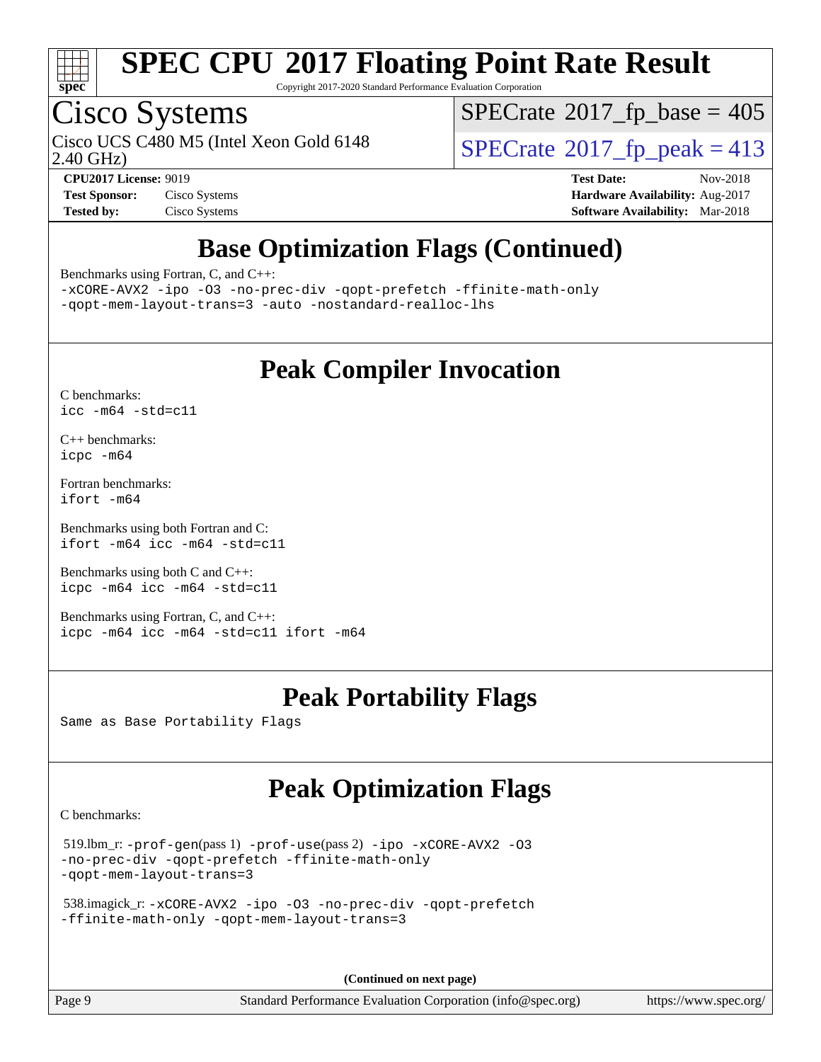

Copyright 2017-2020 Standard Performance Evaluation Corporation

### Cisco Systems

Cisco UCS C480 M5 (Intel Xeon Gold 6148  $\vert$  [SPECrate](http://www.spec.org/auto/cpu2017/Docs/result-fields.html#SPECrate2017fppeak)®[2017\\_fp\\_peak = 4](http://www.spec.org/auto/cpu2017/Docs/result-fields.html#SPECrate2017fppeak)13

 $SPECrate$ <sup>®</sup>[2017\\_fp\\_base =](http://www.spec.org/auto/cpu2017/Docs/result-fields.html#SPECrate2017fpbase) 405

2.40 GHz)

**[Tested by:](http://www.spec.org/auto/cpu2017/Docs/result-fields.html#Testedby)** Cisco Systems **[Software Availability:](http://www.spec.org/auto/cpu2017/Docs/result-fields.html#SoftwareAvailability)** Mar-2018

**[CPU2017 License:](http://www.spec.org/auto/cpu2017/Docs/result-fields.html#CPU2017License)** 9019 **[Test Date:](http://www.spec.org/auto/cpu2017/Docs/result-fields.html#TestDate)** Nov-2018 **[Test Sponsor:](http://www.spec.org/auto/cpu2017/Docs/result-fields.html#TestSponsor)** Cisco Systems **[Hardware Availability:](http://www.spec.org/auto/cpu2017/Docs/result-fields.html#HardwareAvailability)** Aug-2017

### **[Base Optimization Flags \(Continued\)](http://www.spec.org/auto/cpu2017/Docs/result-fields.html#BaseOptimizationFlags)**

[Benchmarks using Fortran, C, and C++:](http://www.spec.org/auto/cpu2017/Docs/result-fields.html#BenchmarksusingFortranCandCXX)

[-xCORE-AVX2](http://www.spec.org/cpu2017/results/res2018q4/cpu2017-20181127-09971.flags.html#user_CC_CXX_FCbase_f-xCORE-AVX2) [-ipo](http://www.spec.org/cpu2017/results/res2018q4/cpu2017-20181127-09971.flags.html#user_CC_CXX_FCbase_f-ipo) [-O3](http://www.spec.org/cpu2017/results/res2018q4/cpu2017-20181127-09971.flags.html#user_CC_CXX_FCbase_f-O3) [-no-prec-div](http://www.spec.org/cpu2017/results/res2018q4/cpu2017-20181127-09971.flags.html#user_CC_CXX_FCbase_f-no-prec-div) [-qopt-prefetch](http://www.spec.org/cpu2017/results/res2018q4/cpu2017-20181127-09971.flags.html#user_CC_CXX_FCbase_f-qopt-prefetch) [-ffinite-math-only](http://www.spec.org/cpu2017/results/res2018q4/cpu2017-20181127-09971.flags.html#user_CC_CXX_FCbase_f_finite_math_only_cb91587bd2077682c4b38af759c288ed7c732db004271a9512da14a4f8007909a5f1427ecbf1a0fb78ff2a814402c6114ac565ca162485bbcae155b5e4258871) [-qopt-mem-layout-trans=3](http://www.spec.org/cpu2017/results/res2018q4/cpu2017-20181127-09971.flags.html#user_CC_CXX_FCbase_f-qopt-mem-layout-trans_de80db37974c74b1f0e20d883f0b675c88c3b01e9d123adea9b28688d64333345fb62bc4a798493513fdb68f60282f9a726aa07f478b2f7113531aecce732043) [-auto](http://www.spec.org/cpu2017/results/res2018q4/cpu2017-20181127-09971.flags.html#user_CC_CXX_FCbase_f-auto) [-nostandard-realloc-lhs](http://www.spec.org/cpu2017/results/res2018q4/cpu2017-20181127-09971.flags.html#user_CC_CXX_FCbase_f_2003_std_realloc_82b4557e90729c0f113870c07e44d33d6f5a304b4f63d4c15d2d0f1fab99f5daaed73bdb9275d9ae411527f28b936061aa8b9c8f2d63842963b95c9dd6426b8a)

### **[Peak Compiler Invocation](http://www.spec.org/auto/cpu2017/Docs/result-fields.html#PeakCompilerInvocation)**

[C benchmarks](http://www.spec.org/auto/cpu2017/Docs/result-fields.html#Cbenchmarks): [icc -m64 -std=c11](http://www.spec.org/cpu2017/results/res2018q4/cpu2017-20181127-09971.flags.html#user_CCpeak_intel_icc_64bit_c11_33ee0cdaae7deeeab2a9725423ba97205ce30f63b9926c2519791662299b76a0318f32ddfffdc46587804de3178b4f9328c46fa7c2b0cd779d7a61945c91cd35)

[C++ benchmarks:](http://www.spec.org/auto/cpu2017/Docs/result-fields.html#CXXbenchmarks) [icpc -m64](http://www.spec.org/cpu2017/results/res2018q4/cpu2017-20181127-09971.flags.html#user_CXXpeak_intel_icpc_64bit_4ecb2543ae3f1412ef961e0650ca070fec7b7afdcd6ed48761b84423119d1bf6bdf5cad15b44d48e7256388bc77273b966e5eb805aefd121eb22e9299b2ec9d9)

[Fortran benchmarks](http://www.spec.org/auto/cpu2017/Docs/result-fields.html#Fortranbenchmarks): [ifort -m64](http://www.spec.org/cpu2017/results/res2018q4/cpu2017-20181127-09971.flags.html#user_FCpeak_intel_ifort_64bit_24f2bb282fbaeffd6157abe4f878425411749daecae9a33200eee2bee2fe76f3b89351d69a8130dd5949958ce389cf37ff59a95e7a40d588e8d3a57e0c3fd751)

[Benchmarks using both Fortran and C](http://www.spec.org/auto/cpu2017/Docs/result-fields.html#BenchmarksusingbothFortranandC): [ifort -m64](http://www.spec.org/cpu2017/results/res2018q4/cpu2017-20181127-09971.flags.html#user_CC_FCpeak_intel_ifort_64bit_24f2bb282fbaeffd6157abe4f878425411749daecae9a33200eee2bee2fe76f3b89351d69a8130dd5949958ce389cf37ff59a95e7a40d588e8d3a57e0c3fd751) [icc -m64 -std=c11](http://www.spec.org/cpu2017/results/res2018q4/cpu2017-20181127-09971.flags.html#user_CC_FCpeak_intel_icc_64bit_c11_33ee0cdaae7deeeab2a9725423ba97205ce30f63b9926c2519791662299b76a0318f32ddfffdc46587804de3178b4f9328c46fa7c2b0cd779d7a61945c91cd35)

[Benchmarks using both C and C++](http://www.spec.org/auto/cpu2017/Docs/result-fields.html#BenchmarksusingbothCandCXX): [icpc -m64](http://www.spec.org/cpu2017/results/res2018q4/cpu2017-20181127-09971.flags.html#user_CC_CXXpeak_intel_icpc_64bit_4ecb2543ae3f1412ef961e0650ca070fec7b7afdcd6ed48761b84423119d1bf6bdf5cad15b44d48e7256388bc77273b966e5eb805aefd121eb22e9299b2ec9d9) [icc -m64 -std=c11](http://www.spec.org/cpu2017/results/res2018q4/cpu2017-20181127-09971.flags.html#user_CC_CXXpeak_intel_icc_64bit_c11_33ee0cdaae7deeeab2a9725423ba97205ce30f63b9926c2519791662299b76a0318f32ddfffdc46587804de3178b4f9328c46fa7c2b0cd779d7a61945c91cd35)

[Benchmarks using Fortran, C, and C++:](http://www.spec.org/auto/cpu2017/Docs/result-fields.html#BenchmarksusingFortranCandCXX) [icpc -m64](http://www.spec.org/cpu2017/results/res2018q4/cpu2017-20181127-09971.flags.html#user_CC_CXX_FCpeak_intel_icpc_64bit_4ecb2543ae3f1412ef961e0650ca070fec7b7afdcd6ed48761b84423119d1bf6bdf5cad15b44d48e7256388bc77273b966e5eb805aefd121eb22e9299b2ec9d9) [icc -m64 -std=c11](http://www.spec.org/cpu2017/results/res2018q4/cpu2017-20181127-09971.flags.html#user_CC_CXX_FCpeak_intel_icc_64bit_c11_33ee0cdaae7deeeab2a9725423ba97205ce30f63b9926c2519791662299b76a0318f32ddfffdc46587804de3178b4f9328c46fa7c2b0cd779d7a61945c91cd35) [ifort -m64](http://www.spec.org/cpu2017/results/res2018q4/cpu2017-20181127-09971.flags.html#user_CC_CXX_FCpeak_intel_ifort_64bit_24f2bb282fbaeffd6157abe4f878425411749daecae9a33200eee2bee2fe76f3b89351d69a8130dd5949958ce389cf37ff59a95e7a40d588e8d3a57e0c3fd751)

### **[Peak Portability Flags](http://www.spec.org/auto/cpu2017/Docs/result-fields.html#PeakPortabilityFlags)**

Same as Base Portability Flags

### **[Peak Optimization Flags](http://www.spec.org/auto/cpu2017/Docs/result-fields.html#PeakOptimizationFlags)**

[C benchmarks](http://www.spec.org/auto/cpu2017/Docs/result-fields.html#Cbenchmarks):

```
 519.lbm_r: -prof-gen(pass 1) -prof-use(pass 2) -ipo -xCORE-AVX2 -O3
-no-prec-div -qopt-prefetch -ffinite-math-only
-qopt-mem-layout-trans=3
```

```
 538.imagick_r: -xCORE-AVX2 -ipo -O3 -no-prec-div -qopt-prefetch
-ffinite-math-only -qopt-mem-layout-trans=3
```
**(Continued on next page)**

Page 9 Standard Performance Evaluation Corporation [\(info@spec.org\)](mailto:info@spec.org) <https://www.spec.org/>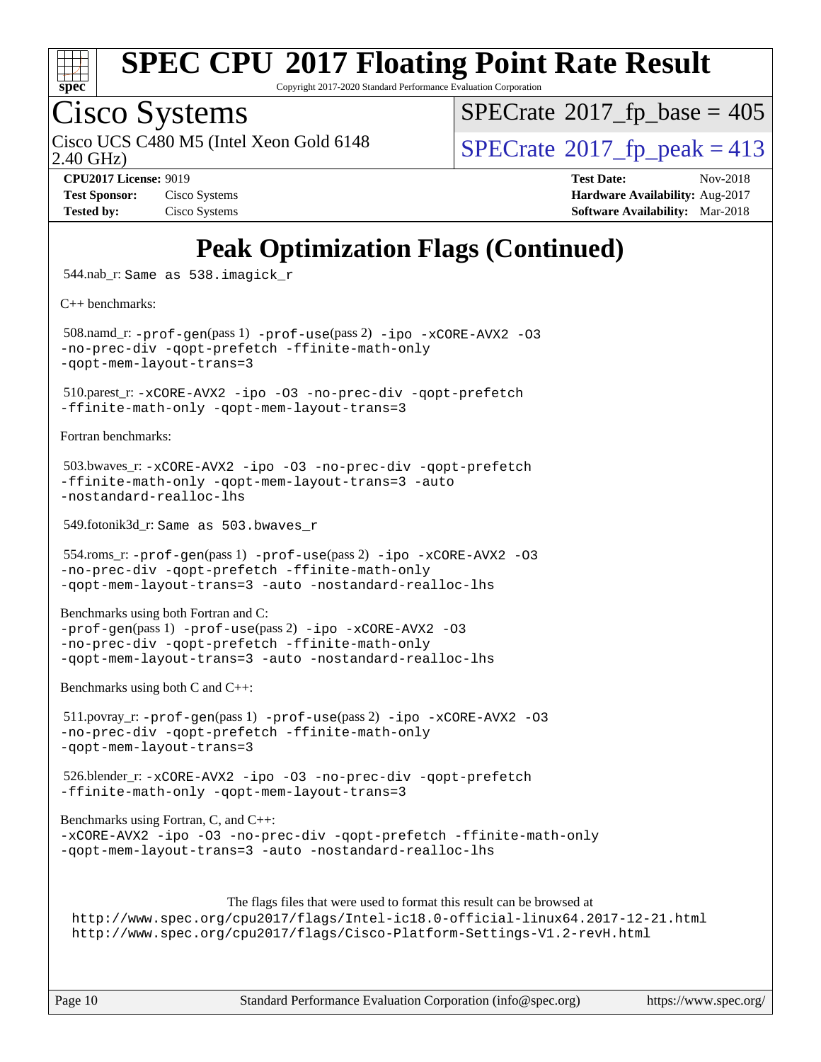

Copyright 2017-2020 Standard Performance Evaluation Corporation

### Cisco Systems

2.40 GHz) Cisco UCS C480 M5 (Intel Xeon Gold 6148  $\vert$  [SPECrate](http://www.spec.org/auto/cpu2017/Docs/result-fields.html#SPECrate2017fppeak)®[2017\\_fp\\_peak = 4](http://www.spec.org/auto/cpu2017/Docs/result-fields.html#SPECrate2017fppeak)13

 $SPECTate$ <sup>®</sup>[2017\\_fp\\_base =](http://www.spec.org/auto/cpu2017/Docs/result-fields.html#SPECrate2017fpbase) 405

**[Test Sponsor:](http://www.spec.org/auto/cpu2017/Docs/result-fields.html#TestSponsor)** Cisco Systems **Cisco Systems [Hardware Availability:](http://www.spec.org/auto/cpu2017/Docs/result-fields.html#HardwareAvailability)** Aug-2017 **[Tested by:](http://www.spec.org/auto/cpu2017/Docs/result-fields.html#Testedby)** Cisco Systems **[Software Availability:](http://www.spec.org/auto/cpu2017/Docs/result-fields.html#SoftwareAvailability)** Mar-2018

**[CPU2017 License:](http://www.spec.org/auto/cpu2017/Docs/result-fields.html#CPU2017License)** 9019 **[Test Date:](http://www.spec.org/auto/cpu2017/Docs/result-fields.html#TestDate)** Nov-2018

### **[Peak Optimization Flags \(Continued\)](http://www.spec.org/auto/cpu2017/Docs/result-fields.html#PeakOptimizationFlags)**

544.nab\_r: Same as 538.imagick\_r

[C++ benchmarks:](http://www.spec.org/auto/cpu2017/Docs/result-fields.html#CXXbenchmarks)

 508.namd\_r: [-prof-gen](http://www.spec.org/cpu2017/results/res2018q4/cpu2017-20181127-09971.flags.html#user_peakPASS1_CXXFLAGSPASS1_LDFLAGS508_namd_r_prof_gen_5aa4926d6013ddb2a31985c654b3eb18169fc0c6952a63635c234f711e6e63dd76e94ad52365559451ec499a2cdb89e4dc58ba4c67ef54ca681ffbe1461d6b36)(pass 1) [-prof-use](http://www.spec.org/cpu2017/results/res2018q4/cpu2017-20181127-09971.flags.html#user_peakPASS2_CXXFLAGSPASS2_LDFLAGS508_namd_r_prof_use_1a21ceae95f36a2b53c25747139a6c16ca95bd9def2a207b4f0849963b97e94f5260e30a0c64f4bb623698870e679ca08317ef8150905d41bd88c6f78df73f19)(pass 2) [-ipo](http://www.spec.org/cpu2017/results/res2018q4/cpu2017-20181127-09971.flags.html#user_peakPASS1_CXXOPTIMIZEPASS2_CXXOPTIMIZE508_namd_r_f-ipo) [-xCORE-AVX2](http://www.spec.org/cpu2017/results/res2018q4/cpu2017-20181127-09971.flags.html#user_peakPASS2_CXXOPTIMIZE508_namd_r_f-xCORE-AVX2) [-O3](http://www.spec.org/cpu2017/results/res2018q4/cpu2017-20181127-09971.flags.html#user_peakPASS1_CXXOPTIMIZEPASS2_CXXOPTIMIZE508_namd_r_f-O3) [-no-prec-div](http://www.spec.org/cpu2017/results/res2018q4/cpu2017-20181127-09971.flags.html#user_peakPASS1_CXXOPTIMIZEPASS2_CXXOPTIMIZE508_namd_r_f-no-prec-div) [-qopt-prefetch](http://www.spec.org/cpu2017/results/res2018q4/cpu2017-20181127-09971.flags.html#user_peakPASS1_CXXOPTIMIZEPASS2_CXXOPTIMIZE508_namd_r_f-qopt-prefetch) [-ffinite-math-only](http://www.spec.org/cpu2017/results/res2018q4/cpu2017-20181127-09971.flags.html#user_peakPASS1_CXXOPTIMIZEPASS2_CXXOPTIMIZE508_namd_r_f_finite_math_only_cb91587bd2077682c4b38af759c288ed7c732db004271a9512da14a4f8007909a5f1427ecbf1a0fb78ff2a814402c6114ac565ca162485bbcae155b5e4258871) [-qopt-mem-layout-trans=3](http://www.spec.org/cpu2017/results/res2018q4/cpu2017-20181127-09971.flags.html#user_peakPASS1_CXXOPTIMIZEPASS2_CXXOPTIMIZE508_namd_r_f-qopt-mem-layout-trans_de80db37974c74b1f0e20d883f0b675c88c3b01e9d123adea9b28688d64333345fb62bc4a798493513fdb68f60282f9a726aa07f478b2f7113531aecce732043)

 510.parest\_r: [-xCORE-AVX2](http://www.spec.org/cpu2017/results/res2018q4/cpu2017-20181127-09971.flags.html#user_peakCXXOPTIMIZE510_parest_r_f-xCORE-AVX2) [-ipo](http://www.spec.org/cpu2017/results/res2018q4/cpu2017-20181127-09971.flags.html#user_peakCXXOPTIMIZE510_parest_r_f-ipo) [-O3](http://www.spec.org/cpu2017/results/res2018q4/cpu2017-20181127-09971.flags.html#user_peakCXXOPTIMIZE510_parest_r_f-O3) [-no-prec-div](http://www.spec.org/cpu2017/results/res2018q4/cpu2017-20181127-09971.flags.html#user_peakCXXOPTIMIZE510_parest_r_f-no-prec-div) [-qopt-prefetch](http://www.spec.org/cpu2017/results/res2018q4/cpu2017-20181127-09971.flags.html#user_peakCXXOPTIMIZE510_parest_r_f-qopt-prefetch) [-ffinite-math-only](http://www.spec.org/cpu2017/results/res2018q4/cpu2017-20181127-09971.flags.html#user_peakCXXOPTIMIZE510_parest_r_f_finite_math_only_cb91587bd2077682c4b38af759c288ed7c732db004271a9512da14a4f8007909a5f1427ecbf1a0fb78ff2a814402c6114ac565ca162485bbcae155b5e4258871) [-qopt-mem-layout-trans=3](http://www.spec.org/cpu2017/results/res2018q4/cpu2017-20181127-09971.flags.html#user_peakCXXOPTIMIZE510_parest_r_f-qopt-mem-layout-trans_de80db37974c74b1f0e20d883f0b675c88c3b01e9d123adea9b28688d64333345fb62bc4a798493513fdb68f60282f9a726aa07f478b2f7113531aecce732043)

[Fortran benchmarks](http://www.spec.org/auto/cpu2017/Docs/result-fields.html#Fortranbenchmarks):

```
 503.bwaves_r: -xCORE-AVX2 -ipo -O3 -no-prec-div -qopt-prefetch
-ffinite-math-only -qopt-mem-layout-trans=3 -auto
-nostandard-realloc-lhs
```
549.fotonik3d\_r: Same as 503.bwaves\_r

```
 554.roms_r: -prof-gen(pass 1) -prof-use(pass 2) -ipo -xCORE-AVX2 -O3
-no-prec-div -qopt-prefetch -ffinite-math-only
-qopt-mem-layout-trans=3 -auto -nostandard-realloc-lhs
```
[Benchmarks using both Fortran and C](http://www.spec.org/auto/cpu2017/Docs/result-fields.html#BenchmarksusingbothFortranandC):

[-prof-gen](http://www.spec.org/cpu2017/results/res2018q4/cpu2017-20181127-09971.flags.html#user_CC_FCpeak_prof_gen_5aa4926d6013ddb2a31985c654b3eb18169fc0c6952a63635c234f711e6e63dd76e94ad52365559451ec499a2cdb89e4dc58ba4c67ef54ca681ffbe1461d6b36)(pass 1) [-prof-use](http://www.spec.org/cpu2017/results/res2018q4/cpu2017-20181127-09971.flags.html#user_CC_FCpeak_prof_use_1a21ceae95f36a2b53c25747139a6c16ca95bd9def2a207b4f0849963b97e94f5260e30a0c64f4bb623698870e679ca08317ef8150905d41bd88c6f78df73f19)(pass 2) [-ipo](http://www.spec.org/cpu2017/results/res2018q4/cpu2017-20181127-09971.flags.html#user_CC_FCpeak_f-ipo) [-xCORE-AVX2](http://www.spec.org/cpu2017/results/res2018q4/cpu2017-20181127-09971.flags.html#user_CC_FCpeak_f-xCORE-AVX2) [-O3](http://www.spec.org/cpu2017/results/res2018q4/cpu2017-20181127-09971.flags.html#user_CC_FCpeak_f-O3) [-no-prec-div](http://www.spec.org/cpu2017/results/res2018q4/cpu2017-20181127-09971.flags.html#user_CC_FCpeak_f-no-prec-div) [-qopt-prefetch](http://www.spec.org/cpu2017/results/res2018q4/cpu2017-20181127-09971.flags.html#user_CC_FCpeak_f-qopt-prefetch) [-ffinite-math-only](http://www.spec.org/cpu2017/results/res2018q4/cpu2017-20181127-09971.flags.html#user_CC_FCpeak_f_finite_math_only_cb91587bd2077682c4b38af759c288ed7c732db004271a9512da14a4f8007909a5f1427ecbf1a0fb78ff2a814402c6114ac565ca162485bbcae155b5e4258871) [-qopt-mem-layout-trans=3](http://www.spec.org/cpu2017/results/res2018q4/cpu2017-20181127-09971.flags.html#user_CC_FCpeak_f-qopt-mem-layout-trans_de80db37974c74b1f0e20d883f0b675c88c3b01e9d123adea9b28688d64333345fb62bc4a798493513fdb68f60282f9a726aa07f478b2f7113531aecce732043) [-auto](http://www.spec.org/cpu2017/results/res2018q4/cpu2017-20181127-09971.flags.html#user_CC_FCpeak_f-auto) [-nostandard-realloc-lhs](http://www.spec.org/cpu2017/results/res2018q4/cpu2017-20181127-09971.flags.html#user_CC_FCpeak_f_2003_std_realloc_82b4557e90729c0f113870c07e44d33d6f5a304b4f63d4c15d2d0f1fab99f5daaed73bdb9275d9ae411527f28b936061aa8b9c8f2d63842963b95c9dd6426b8a)

[Benchmarks using both C and C++](http://www.spec.org/auto/cpu2017/Docs/result-fields.html#BenchmarksusingbothCandCXX):

```
 511.povray_r: -prof-gen(pass 1) -prof-use(pass 2) -ipo -xCORE-AVX2 -O3
-no-prec-div -qopt-prefetch -ffinite-math-only
-qopt-mem-layout-trans=3
```

```
 526.blender_r: -xCORE-AVX2 -ipo -O3 -no-prec-div -qopt-prefetch
-ffinite-math-only -qopt-mem-layout-trans=3
```
[Benchmarks using Fortran, C, and C++:](http://www.spec.org/auto/cpu2017/Docs/result-fields.html#BenchmarksusingFortranCandCXX) [-xCORE-AVX2](http://www.spec.org/cpu2017/results/res2018q4/cpu2017-20181127-09971.flags.html#user_CC_CXX_FCpeak_f-xCORE-AVX2) [-ipo](http://www.spec.org/cpu2017/results/res2018q4/cpu2017-20181127-09971.flags.html#user_CC_CXX_FCpeak_f-ipo) [-O3](http://www.spec.org/cpu2017/results/res2018q4/cpu2017-20181127-09971.flags.html#user_CC_CXX_FCpeak_f-O3) [-no-prec-div](http://www.spec.org/cpu2017/results/res2018q4/cpu2017-20181127-09971.flags.html#user_CC_CXX_FCpeak_f-no-prec-div) [-qopt-prefetch](http://www.spec.org/cpu2017/results/res2018q4/cpu2017-20181127-09971.flags.html#user_CC_CXX_FCpeak_f-qopt-prefetch) [-ffinite-math-only](http://www.spec.org/cpu2017/results/res2018q4/cpu2017-20181127-09971.flags.html#user_CC_CXX_FCpeak_f_finite_math_only_cb91587bd2077682c4b38af759c288ed7c732db004271a9512da14a4f8007909a5f1427ecbf1a0fb78ff2a814402c6114ac565ca162485bbcae155b5e4258871) [-qopt-mem-layout-trans=3](http://www.spec.org/cpu2017/results/res2018q4/cpu2017-20181127-09971.flags.html#user_CC_CXX_FCpeak_f-qopt-mem-layout-trans_de80db37974c74b1f0e20d883f0b675c88c3b01e9d123adea9b28688d64333345fb62bc4a798493513fdb68f60282f9a726aa07f478b2f7113531aecce732043) [-auto](http://www.spec.org/cpu2017/results/res2018q4/cpu2017-20181127-09971.flags.html#user_CC_CXX_FCpeak_f-auto) [-nostandard-realloc-lhs](http://www.spec.org/cpu2017/results/res2018q4/cpu2017-20181127-09971.flags.html#user_CC_CXX_FCpeak_f_2003_std_realloc_82b4557e90729c0f113870c07e44d33d6f5a304b4f63d4c15d2d0f1fab99f5daaed73bdb9275d9ae411527f28b936061aa8b9c8f2d63842963b95c9dd6426b8a)

```
The flags files that were used to format this result can be browsed at
http://www.spec.org/cpu2017/flags/Intel-ic18.0-official-linux64.2017-12-21.html
http://www.spec.org/cpu2017/flags/Cisco-Platform-Settings-V1.2-revH.html
```